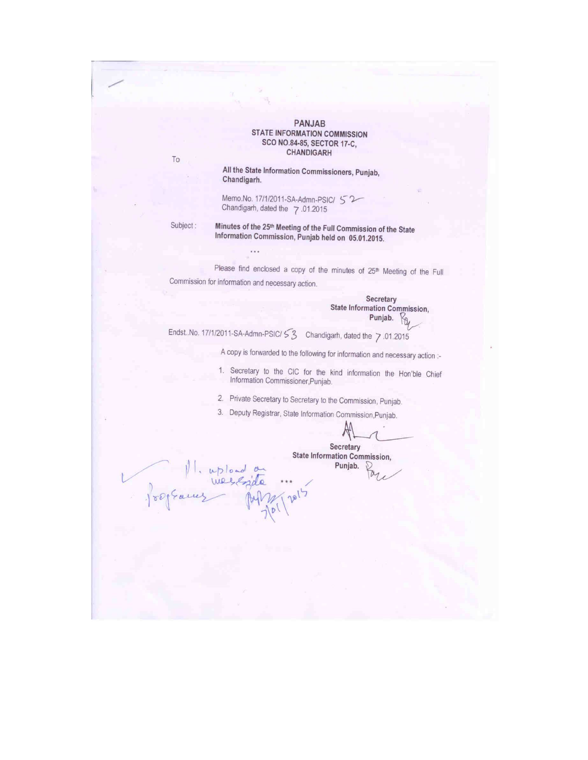#### PANJAB **STATE INFORMATION COMMISSION** SCO NO.84-85, SECTOR 17-C, CHANDIGARH

All the State Information Commissioners, Punjab, Chandigarh.

Memo.No. 17/1/2011-SA-Admn-PSIC/ 52 Chandigarh, dated the 7.01.2015

Minutes of the 25th Meeting of the Full Commission of the State Subject: Information Commission, Punjab held on 05.01.2015.

 $ubload$ 

 $110<sup>0</sup>$ 

 $\sim$ 

 $\mathsf{T}\mathsf{o}$ 

Please find enclosed a copy of the minutes of 25th Meeting of the Full Commission for information and necessary action.

> Secretary **State Information Commission,** Punjab.  $K_{\theta}$

Endst. No. 17/1/2011-SA-Admn-PSIC/53 Chandigarh, dated the 7.01.2015

A copy is forwarded to the following for information and necessary action :-

1. Secretary to the CIC for the kind information the Hon'ble Chief Information Commissioner, Punjab.

2. Private Secretary to Secretary to the Commission, Punjab.

3. Deputy Registrar, State Information Commission, Punjab.

Secretary **State Information Commission,** Punjab.